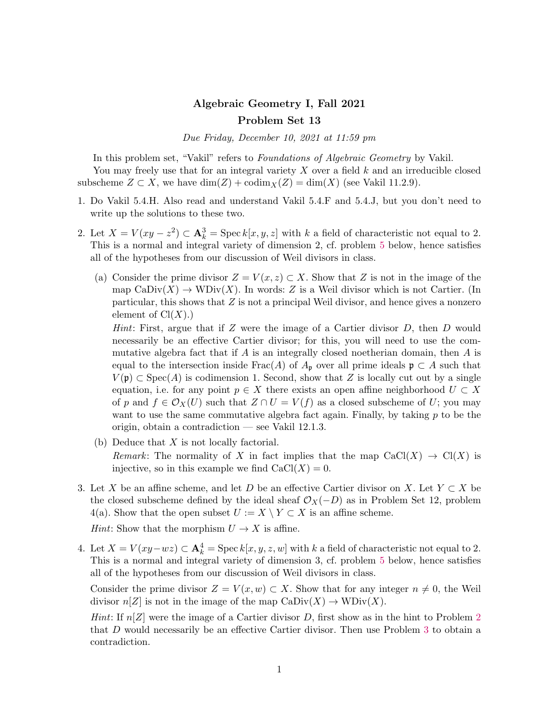## Algebraic Geometry I, Fall 2021 Problem Set 13

Due Friday, December 10, 2021 at 11:59 pm

In this problem set, "Vakil" refers to Foundations of Algebraic Geometry by Vakil. You may freely use that for an integral variety  $X$  over a field  $k$  and an irreducible closed subscheme  $Z \subset X$ , we have  $\dim(Z) + \text{codim}_X(Z) = \dim(X)$  (see Vakil 11.2.9).

- 1. Do Vakil 5.4.H. Also read and understand Vakil 5.4.F and 5.4.J, but you don't need to write up the solutions to these two.
- <span id="page-0-0"></span>2. Let  $X = V(xy - z^2) \subset \mathbf{A}_k^3 = \operatorname{Spec} k[x, y, z]$  with k a field of characteristic not equal to 2. This is a normal and integral variety of dimension 2, cf. problem [5](#page-1-0) below, hence satisfies all of the hypotheses from our discussion of Weil divisors in class.
	- (a) Consider the prime divisor  $Z = V(x, z) \subset X$ . Show that Z is not in the image of the map  $\text{CaDiv}(X) \to \text{WDiv}(X)$ . In words: Z is a Weil divisor which is not Cartier. (In particular, this shows that  $Z$  is not a principal Weil divisor, and hence gives a nonzero element of  $Cl(X)$ .)

*Hint*: First, argue that if  $Z$  were the image of a Cartier divisor  $D$ , then  $D$  would necessarily be an effective Cartier divisor; for this, you will need to use the commutative algebra fact that if  $A$  is an integrally closed noetherian domain, then  $A$  is equal to the intersection inside Frac(A) of  $A_{\mathfrak{p}}$  over all prime ideals  $\mathfrak{p} \subset A$  such that  $V(\mathfrak{p}) \subset \text{Spec}(A)$  is codimension 1. Second, show that Z is locally cut out by a single equation, i.e. for any point  $p \in X$  there exists an open affine neighborhood  $U \subset X$ of p and  $f \in \mathcal{O}_X(U)$  such that  $Z \cap U = V(f)$  as a closed subscheme of U; you may want to use the same commutative algebra fact again. Finally, by taking  $p$  to be the origin, obtain a contradiction — see Vakil 12.1.3.

- (b) Deduce that  $X$  is not locally factorial. Remark: The normality of X in fact implies that the map  $CaCl(X) \rightarrow Cl(X)$  is injective, so in this example we find  $CaCl(X) = 0$ .
- <span id="page-0-1"></span>3. Let X be an affine scheme, and let D be an effective Cartier divisor on X. Let  $Y \subset X$  be the closed subscheme defined by the ideal sheaf  $\mathcal{O}_X(-D)$  as in Problem Set 12, problem 4(a). Show that the open subset  $U := X \setminus Y \subset X$  is an affine scheme.

*Hint*: Show that the morphism  $U \rightarrow X$  is affine.

<span id="page-0-2"></span>4. Let  $X = V(xy - wz) \subset \mathbf{A}_k^4 = \text{Spec } k[x, y, z, w]$  with k a field of characteristic not equal to 2. This is a normal and integral variety of dimension 3, cf. problem [5](#page-1-0) below, hence satisfies all of the hypotheses from our discussion of Weil divisors in class.

Consider the prime divisor  $Z = V(x, w) \subset X$ . Show that for any integer  $n \neq 0$ , the Weil divisor  $n[Z]$  is not in the image of the map  $\text{CaDiv}(X) \to \text{WDiv}(X)$ .

*Hint*: If  $n[Z]$  were the image of a Cartier divisor D, first show as in the hint to Problem [2](#page-0-0) that D would necessarily be an effective Cartier divisor. Then use Problem [3](#page-0-1) to obtain a contradiction.